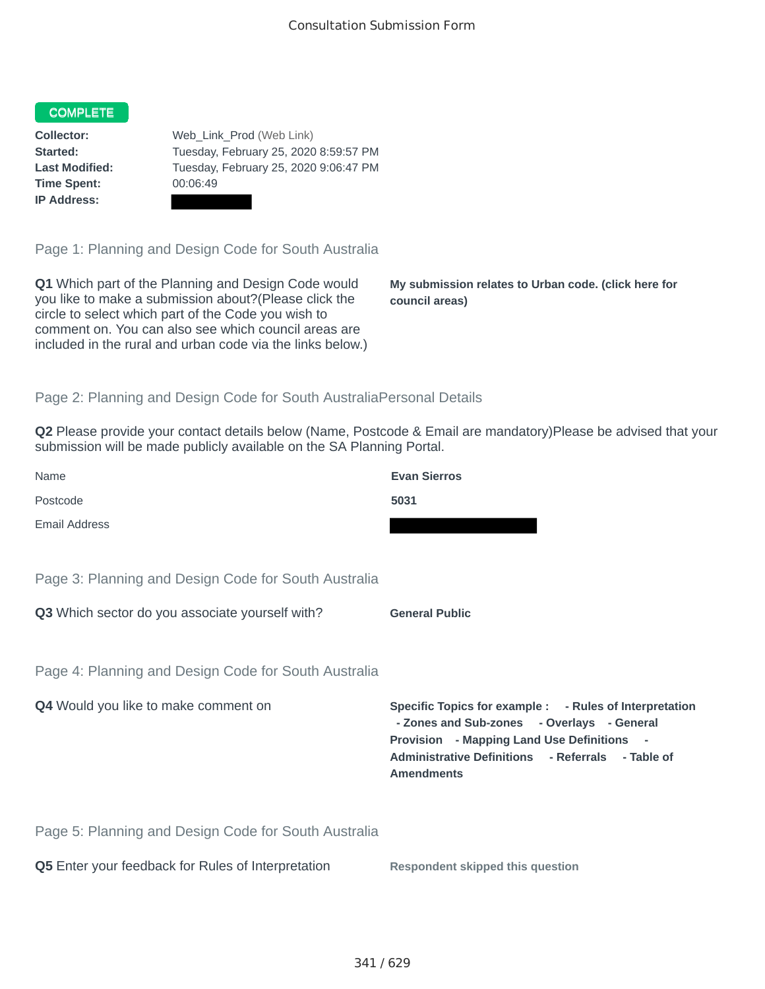## COMPLETE

**Time Spent:** 00:06:49 **IP Address:**

**Collector:** Web\_Link\_Prod (Web Link) **Started:** Tuesday, February 25, 2020 8:59:57 PM **Last Modified:** Tuesday, February 25, 2020 9:06:47 PM

Page 1: Planning and Design Code for South Australia

**Q1** Which part of the Planning and Design Code would you like to make a submission about?(Please click the circle to select which part of the Code you wish to comment on. You can also see which council areas are included in the rural and urban code via the links below.)

**My submission relates to Urban code. (click here for council areas)**

## Page 2: Planning and Design Code for South AustraliaPersonal Details

**Q2** Please provide your contact details below (Name, Postcode & Email are mandatory)Please be advised that your submission will be made publicly available on the SA Planning Portal.

| Name                                                 | <b>Evan Sierros</b>                                                                                                                                                                                                                |
|------------------------------------------------------|------------------------------------------------------------------------------------------------------------------------------------------------------------------------------------------------------------------------------------|
| Postcode                                             | 5031                                                                                                                                                                                                                               |
| Email Address                                        |                                                                                                                                                                                                                                    |
| Page 3: Planning and Design Code for South Australia |                                                                                                                                                                                                                                    |
| Q3 Which sector do you associate yourself with?      | <b>General Public</b>                                                                                                                                                                                                              |
| Page 4: Planning and Design Code for South Australia |                                                                                                                                                                                                                                    |
| Q4 Would you like to make comment on                 | Specific Topics for example : - Rules of Interpretation<br>- Zones and Sub-zones - Overlays - General<br><b>Provision</b> - Mapping Land Use Definitions<br>Administrative Definitions - Referrals - Table of<br><b>Amendments</b> |
| Page 5: Planning and Design Code for South Australia |                                                                                                                                                                                                                                    |
| Q5 Enter your feedback for Rules of Interpretation   | <b>Respondent skipped this question</b>                                                                                                                                                                                            |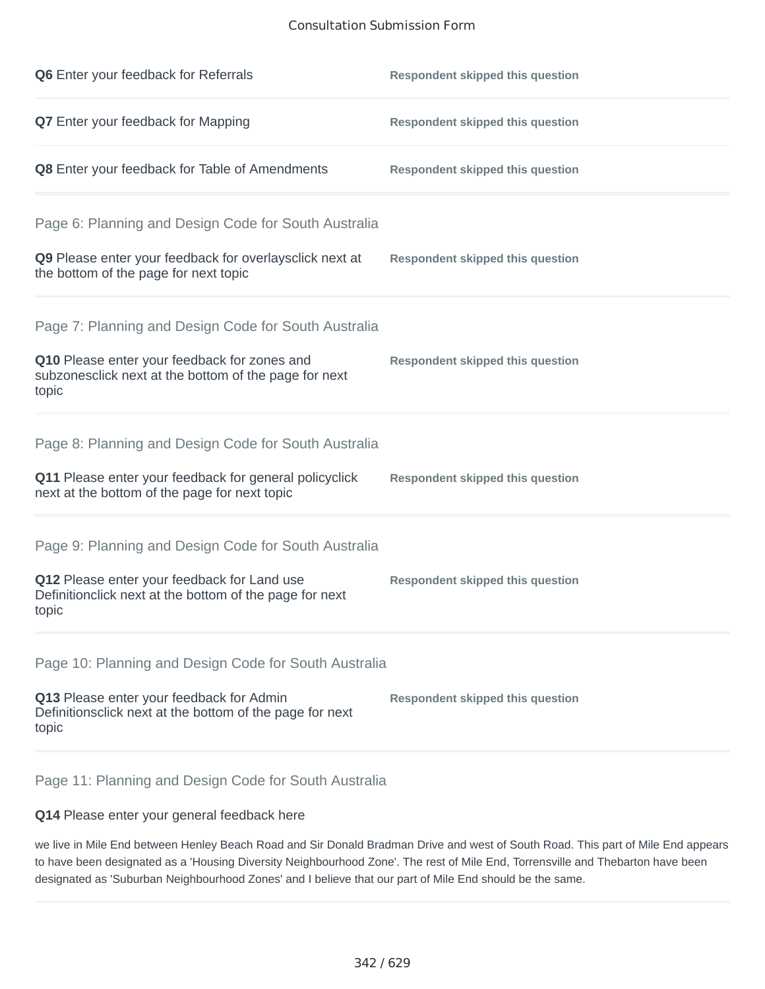## Consultation Submission Form

| Q6 Enter your feedback for Referrals                                                                                                                                    | <b>Respondent skipped this question</b> |
|-------------------------------------------------------------------------------------------------------------------------------------------------------------------------|-----------------------------------------|
| <b>Q7</b> Enter your feedback for Mapping                                                                                                                               | <b>Respondent skipped this question</b> |
| Q8 Enter your feedback for Table of Amendments                                                                                                                          | <b>Respondent skipped this question</b> |
| Page 6: Planning and Design Code for South Australia<br>Q9 Please enter your feedback for overlaysclick next at<br>the bottom of the page for next topic                | <b>Respondent skipped this question</b> |
| Page 7: Planning and Design Code for South Australia<br>Q10 Please enter your feedback for zones and<br>subzonesclick next at the bottom of the page for next<br>topic  | <b>Respondent skipped this question</b> |
| Page 8: Planning and Design Code for South Australia<br>Q11 Please enter your feedback for general policyclick<br>next at the bottom of the page for next topic         | <b>Respondent skipped this question</b> |
| Page 9: Planning and Design Code for South Australia<br>Q12 Please enter your feedback for Land use<br>Definitionclick next at the bottom of the page for next<br>topic | <b>Respondent skipped this question</b> |
| Page 10: Planning and Design Code for South Australia<br>Q13 Please enter your feedback for Admin<br>Definitionsclick next at the bottom of the page for next<br>topic  | <b>Respondent skipped this question</b> |

Page 11: Planning and Design Code for South Australia

## **Q14** Please enter your general feedback here

we live in Mile End between Henley Beach Road and Sir Donald Bradman Drive and west of South Road. This part of Mile End appears to have been designated as a 'Housing Diversity Neighbourhood Zone'. The rest of Mile End, Torrensville and Thebarton have been designated as 'Suburban Neighbourhood Zones' and I believe that our part of Mile End should be the same.